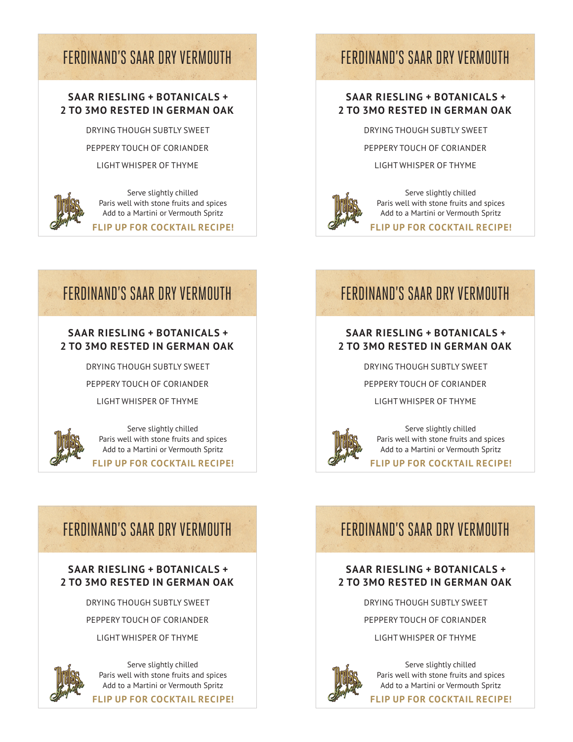# FERDINAND'S SAAR DRY VERMOUTH FERDINAND'S SAAR DRY VERMOUTH

## **SAAR RIESLING + BOTANICALS + 2 TO 3MO RESTED IN GERMAN OAK**

DRYING THOUGH SUBTLY SWEET

PEPPERY TOUCH OF CORIANDER

LIGHT WHISPER OF THYME



Serve slightly chilled Paris well with stone fruits and spices Add to a Martini or Vermouth Spritz

# **FLIP UP FOR COCKTAIL RECIPE!**

## **SAAR RIESLING + BOTANICALS + 2 TO 3MO RESTED IN GERMAN OAK**

DRYING THOUGH SUBTLY SWEET

PEPPERY TOUCH OF CORIANDER

LIGHT WHISPER OF THYME



Serve slightly chilled Paris well with stone fruits and spices Add to a Martini or Vermouth Spritz

**FLIP UP FOR COCKTAIL RECIPE!**

# FERDINAND'S SAAR DRY VERMOUTH FERDINAND'S SAAR DRY VERMOUTH

## **SAAR RIESLING + BOTANICALS + 2 TO 3MO RESTED IN GERMAN OAK**

DRYING THOUGH SUBTLY SWEET

PEPPERY TOUCH OF CORIANDER

LIGHT WHISPER OF THYME



Serve slightly chilled Paris well with stone fruits and spices Add to a Martini or Vermouth Spritz

**FLIP UP FOR COCKTAIL RECIPE!**

# **SAAR RIESLING + BOTANICALS + 2 TO 3MO RESTED IN GERMAN OAK**

DRYING THOUGH SUBTLY SWEET

PEPPERY TOUCH OF CORIANDER

LIGHT WHISPER OF THYME



Serve slightly chilled Paris well with stone fruits and spices Add to a Martini or Vermouth Spritz

**FLIP UP FOR COCKTAIL RECIPE!**

# FERDINAND'S SAAR DRY VERMOUTH FERDINAND'S SAAR DRY VERMOUTH

# **SAAR RIESLING + BOTANICALS + 2 TO 3MO RESTED IN GERMAN OAK**

DRYING THOUGH SUBTLY SWEET

PEPPERY TOUCH OF CORIANDER

LIGHT WHISPER OF THYME



Serve slightly chilled Paris well with stone fruits and spices Add to a Martini or Vermouth Spritz

**FLIP UP FOR COCKTAIL RECIPE!**

# **SAAR RIESLING + BOTANICALS + 2 TO 3MO RESTED IN GERMAN OAK**

DRYING THOUGH SUBTLY SWEET

PEPPERY TOUCH OF CORIANDER

LIGHT WHISPER OF THYME



Serve slightly chilled Paris well with stone fruits and spices Add to a Martini or Vermouth Spritz

**FLIP UP FOR COCKTAIL RECIPE!**